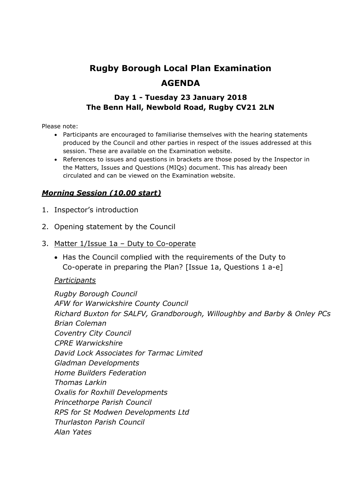# **Rugby Borough Local Plan Examination AGENDA**

#### **Day 1 - Tuesday 23 January 2018 The Benn Hall, Newbold Road, Rugby CV21 2LN**

Please note:

- Participants are encouraged to familiarise themselves with the hearing statements produced by the Council and other parties in respect of the issues addressed at this session. These are available on the Examination website.
- References to issues and questions in brackets are those posed by the Inspector in the Matters, Issues and Questions (MIQs) document. This has already been circulated and can be viewed on the Examination website.

#### *Morning Session (10.00 start)*

- 1. Inspector's introduction
- 2. Opening statement by the Council
- 3. Matter 1/Issue 1a Duty to Co-operate
	- Has the Council complied with the requirements of the Duty to Co-operate in preparing the Plan? [Issue 1a, Questions 1 a-e]

#### *Participants*

*Rugby Borough Council AFW for Warwickshire County Council Richard Buxton for SALFV, Grandborough, Willoughby and Barby & Onley PCs Brian Coleman Coventry City Council CPRE Warwickshire David Lock Associates for Tarmac Limited Gladman Developments Home Builders Federation Thomas Larkin Oxalis for Roxhill Developments Princethorpe Parish Council RPS for St Modwen Developments Ltd Thurlaston Parish Council Alan Yates*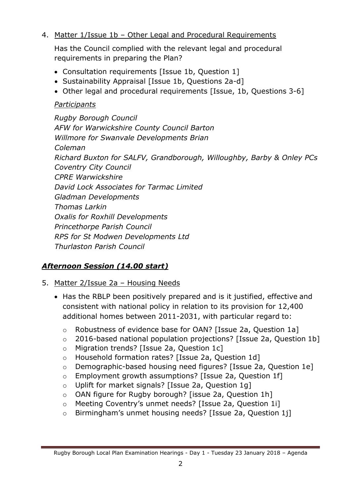#### 4. Matter 1/Issue 1b - Other Legal and Procedural Requirements

Has the Council complied with the relevant legal and procedural requirements in preparing the Plan?

- Consultation requirements [Issue 1b, Question 1]
- Sustainability Appraisal [Issue 1b, Questions 2a-d]
- Other legal and procedural requirements [Issue, 1b, Questions 3-6]

### *Participants*

*Rugby Borough Council AFW for Warwickshire County Council Barton Willmore for Swanvale Developments Brian Coleman Richard Buxton for SALFV, Grandborough, Willoughby, Barby & Onley PCs Coventry City Council CPRE Warwickshire David Lock Associates for Tarmac Limited Gladman Developments Thomas Larkin Oxalis for Roxhill Developments Princethorpe Parish Council RPS for St Modwen Developments Ltd Thurlaston Parish Council*

## *Afternoon Session (14.00 start)*

#### 5. Matter 2/Issue 2a – Housing Needs

- Has the RBLP been positively prepared and is it justified, effective and consistent with national policy in relation to its provision for 12,400 additional homes between 2011-2031, with particular regard to:
	- o Robustness of evidence base for OAN? [Issue 2a, Question 1a]
	- o 2016-based national population projections? [Issue 2a, Question 1b]
	- o Migration trends? [Issue 2a, Question 1c]
	- o Household formation rates? [Issue 2a, Question 1d]
	- o Demographic-based housing need figures? [Issue 2a, Question 1e]
	- o Employment growth assumptions? [Issue 2a, Question 1f]
	- o Uplift for market signals? [Issue 2a, Question 1g]
	- o OAN figure for Rugby borough? [issue 2a, Question 1h]
	- o Meeting Coventry's unmet needs? [Issue 2a, Question 1i]
	- o Birmingham's unmet housing needs? [Issue 2a, Question 1j]